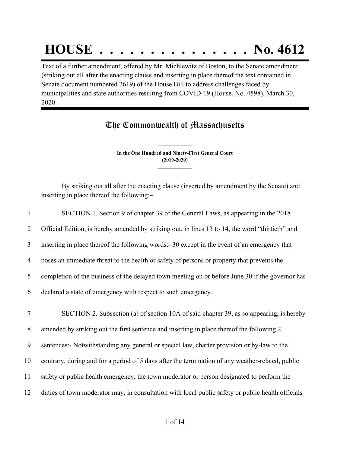# **HOUSE . . . . . . . . . . . . . . . No. 4612**

Text of a further amendment, offered by Mr. Michlewitz of Boston, to the Senate amendment (striking out all after the enacting clause and inserting in place thereof the text contained in Senate document numbered 2619) of the House Bill to address challenges faced by municipalities and state authorities resulting from COVID-19 (House, No. 4598). March 30, 2020.

### The Commonwealth of Massachusetts

**In the One Hundred and Ninety-First General Court (2019-2020) \_\_\_\_\_\_\_\_\_\_\_\_\_\_\_**

**\_\_\_\_\_\_\_\_\_\_\_\_\_\_\_**

By striking out all after the enacting clause (inserted by amendment by the Senate) and inserting in place thereof the following:–

| 1      | SECTION 1. Section 9 of chapter 39 of the General Laws, as appearing in the 2018                  |
|--------|---------------------------------------------------------------------------------------------------|
| 2      | Official Edition, is hereby amended by striking out, in lines 13 to 14, the word "thirtieth" and  |
| 3      | inserting in place thereof the following words: - 30 except in the event of an emergency that     |
| 4      | poses an immediate threat to the health or safety of persons or property that prevents the        |
| 5      | completion of the business of the delayed town meeting on or before June 30 if the governor has   |
| 6      | declared a state of emergency with respect to such emergency.                                     |
| $\tau$ | SECTION 2. Subsection (a) of section 10A of said chapter 39, as so appearing, is hereby           |
| 8      | amended by striking out the first sentence and inserting in place thereof the following 2         |
| 9      | sentences:- Notwithstanding any general or special law, charter provision or by-law to the        |
| 10     | contrary, during and for a period of 5 days after the termination of any weather-related, public  |
| 11     | safety or public health emergency, the town moderator or person designated to perform the         |
| 12     | duties of town moderator may, in consultation with local public safety or public health officials |
|        |                                                                                                   |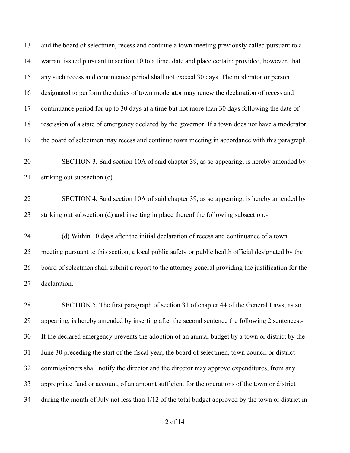and the board of selectmen, recess and continue a town meeting previously called pursuant to a warrant issued pursuant to section 10 to a time, date and place certain; provided, however, that any such recess and continuance period shall not exceed 30 days. The moderator or person designated to perform the duties of town moderator may renew the declaration of recess and continuance period for up to 30 days at a time but not more than 30 days following the date of rescission of a state of emergency declared by the governor. If a town does not have a moderator, the board of selectmen may recess and continue town meeting in accordance with this paragraph.

 SECTION 3. Said section 10A of said chapter 39, as so appearing, is hereby amended by striking out subsection (c).

 SECTION 4. Said section 10A of said chapter 39, as so appearing, is hereby amended by striking out subsection (d) and inserting in place thereof the following subsection:-

 (d) Within 10 days after the initial declaration of recess and continuance of a town meeting pursuant to this section, a local public safety or public health official designated by the board of selectmen shall submit a report to the attorney general providing the justification for the declaration.

 SECTION 5. The first paragraph of section 31 of chapter 44 of the General Laws, as so appearing, is hereby amended by inserting after the second sentence the following 2 sentences:- If the declared emergency prevents the adoption of an annual budget by a town or district by the June 30 preceding the start of the fiscal year, the board of selectmen, town council or district commissioners shall notify the director and the director may approve expenditures, from any appropriate fund or account, of an amount sufficient for the operations of the town or district during the month of July not less than 1/12 of the total budget approved by the town or district in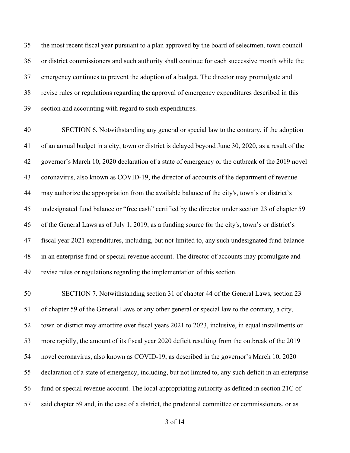the most recent fiscal year pursuant to a plan approved by the board of selectmen, town council or district commissioners and such authority shall continue for each successive month while the emergency continues to prevent the adoption of a budget. The director may promulgate and revise rules or regulations regarding the approval of emergency expenditures described in this section and accounting with regard to such expenditures.

 SECTION 6. Notwithstanding any general or special law to the contrary, if the adoption of an annual budget in a city, town or district is delayed beyond June 30, 2020, as a result of the governor's March 10, 2020 declaration of a state of emergency or the outbreak of the 2019 novel coronavirus, also known as COVID-19, the director of accounts of the department of revenue may authorize the appropriation from the available balance of the city's, town's or district's undesignated fund balance or "free cash" certified by the director under section 23 of chapter 59 of the General Laws as of July 1, 2019, as a funding source for the city's, town's or district's fiscal year 2021 expenditures, including, but not limited to, any such undesignated fund balance in an enterprise fund or special revenue account. The director of accounts may promulgate and revise rules or regulations regarding the implementation of this section.

 SECTION 7. Notwithstanding section 31 of chapter 44 of the General Laws, section 23 of chapter 59 of the General Laws or any other general or special law to the contrary, a city, town or district may amortize over fiscal years 2021 to 2023, inclusive, in equal installments or more rapidly, the amount of its fiscal year 2020 deficit resulting from the outbreak of the 2019 novel coronavirus, also known as COVID-19, as described in the governor's March 10, 2020 declaration of a state of emergency, including, but not limited to, any such deficit in an enterprise fund or special revenue account. The local appropriating authority as defined in section 21C of 57 said chapter 59 and, in the case of a district, the prudential committee or commissioners, or as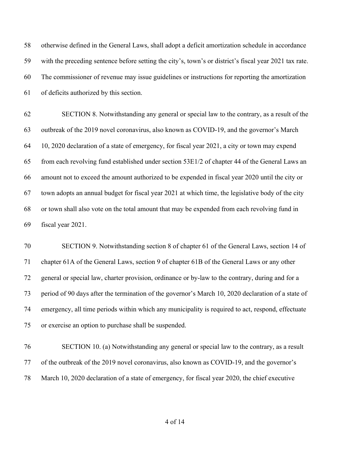otherwise defined in the General Laws, shall adopt a deficit amortization schedule in accordance with the preceding sentence before setting the city's, town's or district's fiscal year 2021 tax rate. The commissioner of revenue may issue guidelines or instructions for reporting the amortization of deficits authorized by this section.

 SECTION 8. Notwithstanding any general or special law to the contrary, as a result of the outbreak of the 2019 novel coronavirus, also known as COVID-19, and the governor's March 10, 2020 declaration of a state of emergency, for fiscal year 2021, a city or town may expend from each revolving fund established under section 53E1/2 of chapter 44 of the General Laws an amount not to exceed the amount authorized to be expended in fiscal year 2020 until the city or town adopts an annual budget for fiscal year 2021 at which time, the legislative body of the city or town shall also vote on the total amount that may be expended from each revolving fund in fiscal year 2021.

 SECTION 9. Notwithstanding section 8 of chapter 61 of the General Laws, section 14 of chapter 61A of the General Laws, section 9 of chapter 61B of the General Laws or any other general or special law, charter provision, ordinance or by-law to the contrary, during and for a period of 90 days after the termination of the governor's March 10, 2020 declaration of a state of emergency, all time periods within which any municipality is required to act, respond, effectuate or exercise an option to purchase shall be suspended.

 SECTION 10. (a) Notwithstanding any general or special law to the contrary, as a result of the outbreak of the 2019 novel coronavirus, also known as COVID-19, and the governor's March 10, 2020 declaration of a state of emergency, for fiscal year 2020, the chief executive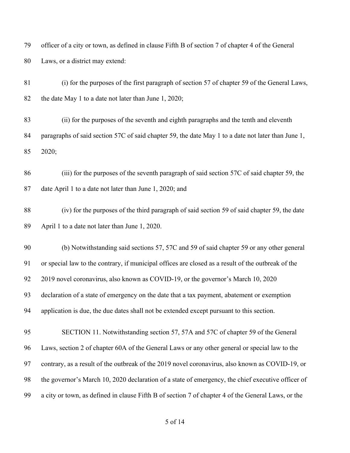officer of a city or town, as defined in clause Fifth B of section 7 of chapter 4 of the General Laws, or a district may extend:

 (i) for the purposes of the first paragraph of section 57 of chapter 59 of the General Laws, the date May 1 to a date not later than June 1, 2020;

 (ii) for the purposes of the seventh and eighth paragraphs and the tenth and eleventh paragraphs of said section 57C of said chapter 59, the date May 1 to a date not later than June 1, 2020;

 (iii) for the purposes of the seventh paragraph of said section 57C of said chapter 59, the date April 1 to a date not later than June 1, 2020; and

 (iv) for the purposes of the third paragraph of said section 59 of said chapter 59, the date April 1 to a date not later than June 1, 2020.

 (b) Notwithstanding said sections 57, 57C and 59 of said chapter 59 or any other general or special law to the contrary, if municipal offices are closed as a result of the outbreak of the 2019 novel coronavirus, also known as COVID-19, or the governor's March 10, 2020 declaration of a state of emergency on the date that a tax payment, abatement or exemption application is due, the due dates shall not be extended except pursuant to this section.

 SECTION 11. Notwithstanding section 57, 57A and 57C of chapter 59 of the General Laws, section 2 of chapter 60A of the General Laws or any other general or special law to the contrary, as a result of the outbreak of the 2019 novel coronavirus, also known as COVID-19, or the governor's March 10, 2020 declaration of a state of emergency, the chief executive officer of a city or town, as defined in clause Fifth B of section 7 of chapter 4 of the General Laws, or the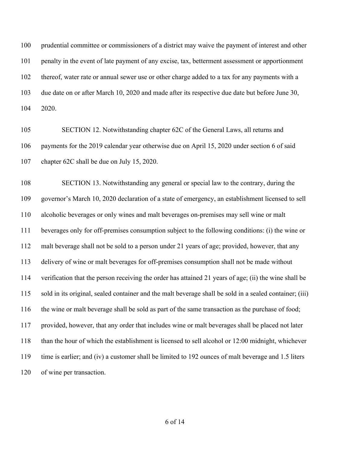prudential committee or commissioners of a district may waive the payment of interest and other penalty in the event of late payment of any excise, tax, betterment assessment or apportionment thereof, water rate or annual sewer use or other charge added to a tax for any payments with a due date on or after March 10, 2020 and made after its respective due date but before June 30, 2020.

 SECTION 12. Notwithstanding chapter 62C of the General Laws, all returns and payments for the 2019 calendar year otherwise due on April 15, 2020 under section 6 of said chapter 62C shall be due on July 15, 2020.

 SECTION 13. Notwithstanding any general or special law to the contrary, during the governor's March 10, 2020 declaration of a state of emergency, an establishment licensed to sell alcoholic beverages or only wines and malt beverages on-premises may sell wine or malt beverages only for off-premises consumption subject to the following conditions: (i) the wine or malt beverage shall not be sold to a person under 21 years of age; provided, however, that any delivery of wine or malt beverages for off-premises consumption shall not be made without verification that the person receiving the order has attained 21 years of age; (ii) the wine shall be sold in its original, sealed container and the malt beverage shall be sold in a sealed container; (iii) the wine or malt beverage shall be sold as part of the same transaction as the purchase of food; provided, however, that any order that includes wine or malt beverages shall be placed not later than the hour of which the establishment is licensed to sell alcohol or 12:00 midnight, whichever time is earlier; and (iv) a customer shall be limited to 192 ounces of malt beverage and 1.5 liters of wine per transaction.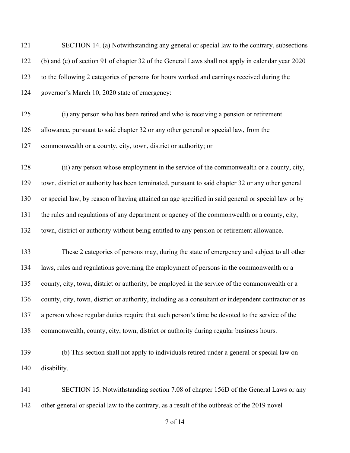SECTION 14. (a) Notwithstanding any general or special law to the contrary, subsections (b) and (c) of section 91 of chapter 32 of the General Laws shall not apply in calendar year 2020 to the following 2 categories of persons for hours worked and earnings received during the governor's March 10, 2020 state of emergency:

 (i) any person who has been retired and who is receiving a pension or retirement allowance, pursuant to said chapter 32 or any other general or special law, from the commonwealth or a county, city, town, district or authority; or

 (ii) any person whose employment in the service of the commonwealth or a county, city, town, district or authority has been terminated, pursuant to said chapter 32 or any other general or special law, by reason of having attained an age specified in said general or special law or by the rules and regulations of any department or agency of the commonwealth or a county, city, town, district or authority without being entitled to any pension or retirement allowance.

 These 2 categories of persons may, during the state of emergency and subject to all other laws, rules and regulations governing the employment of persons in the commonwealth or a county, city, town, district or authority, be employed in the service of the commonwealth or a county, city, town, district or authority, including as a consultant or independent contractor or as a person whose regular duties require that such person's time be devoted to the service of the commonwealth, county, city, town, district or authority during regular business hours.

 (b) This section shall not apply to individuals retired under a general or special law on disability.

141 SECTION 15. Notwithstanding section 7.08 of chapter 156D of the General Laws or any other general or special law to the contrary, as a result of the outbreak of the 2019 novel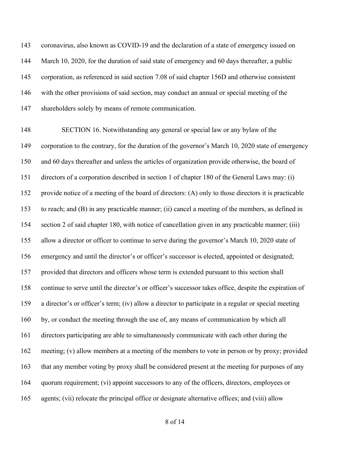coronavirus, also known as COVID-19 and the declaration of a state of emergency issued on March 10, 2020, for the duration of said state of emergency and 60 days thereafter, a public corporation, as referenced in said section 7.08 of said chapter 156D and otherwise consistent with the other provisions of said section, may conduct an annual or special meeting of the shareholders solely by means of remote communication.

 SECTION 16. Notwithstanding any general or special law or any bylaw of the corporation to the contrary, for the duration of the governor's March 10, 2020 state of emergency and 60 days thereafter and unless the articles of organization provide otherwise, the board of directors of a corporation described in section 1 of chapter 180 of the General Laws may: (i) provide notice of a meeting of the board of directors: (A) only to those directors it is practicable to reach; and (B) in any practicable manner; (ii) cancel a meeting of the members, as defined in section 2 of said chapter 180, with notice of cancellation given in any practicable manner; (iii) allow a director or officer to continue to serve during the governor's March 10, 2020 state of emergency and until the director's or officer's successor is elected, appointed or designated; provided that directors and officers whose term is extended pursuant to this section shall continue to serve until the director's or officer's successor takes office, despite the expiration of a director's or officer's term; (iv) allow a director to participate in a regular or special meeting by, or conduct the meeting through the use of, any means of communication by which all directors participating are able to simultaneously communicate with each other during the meeting; (v) allow members at a meeting of the members to vote in person or by proxy; provided that any member voting by proxy shall be considered present at the meeting for purposes of any quorum requirement; (vi) appoint successors to any of the officers, directors, employees or agents; (vii) relocate the principal office or designate alternative offices; and (viii) allow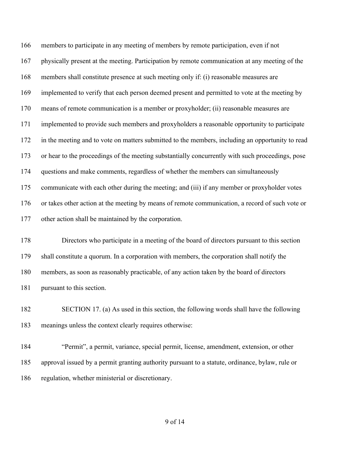members to participate in any meeting of members by remote participation, even if not physically present at the meeting. Participation by remote communication at any meeting of the members shall constitute presence at such meeting only if: (i) reasonable measures are implemented to verify that each person deemed present and permitted to vote at the meeting by means of remote communication is a member or proxyholder; (ii) reasonable measures are implemented to provide such members and proxyholders a reasonable opportunity to participate in the meeting and to vote on matters submitted to the members, including an opportunity to read or hear to the proceedings of the meeting substantially concurrently with such proceedings, pose questions and make comments, regardless of whether the members can simultaneously communicate with each other during the meeting; and (iii) if any member or proxyholder votes or takes other action at the meeting by means of remote communication, a record of such vote or other action shall be maintained by the corporation.

 Directors who participate in a meeting of the board of directors pursuant to this section shall constitute a quorum. In a corporation with members, the corporation shall notify the members, as soon as reasonably practicable, of any action taken by the board of directors pursuant to this section.

 SECTION 17. (a) As used in this section, the following words shall have the following meanings unless the context clearly requires otherwise:

 "Permit", a permit, variance, special permit, license, amendment, extension, or other approval issued by a permit granting authority pursuant to a statute, ordinance, bylaw, rule or regulation, whether ministerial or discretionary.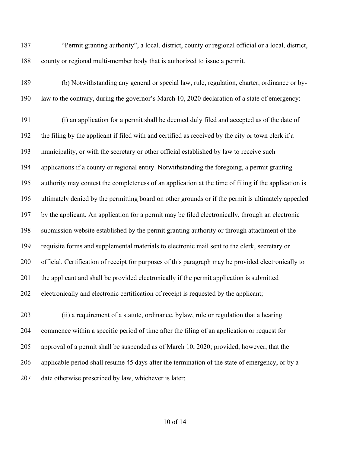"Permit granting authority", a local, district, county or regional official or a local, district, county or regional multi-member body that is authorized to issue a permit.

 (b) Notwithstanding any general or special law, rule, regulation, charter, ordinance or by-law to the contrary, during the governor's March 10, 2020 declaration of a state of emergency:

 (i) an application for a permit shall be deemed duly filed and accepted as of the date of the filing by the applicant if filed with and certified as received by the city or town clerk if a municipality, or with the secretary or other official established by law to receive such applications if a county or regional entity. Notwithstanding the foregoing, a permit granting authority may contest the completeness of an application at the time of filing if the application is ultimately denied by the permitting board on other grounds or if the permit is ultimately appealed by the applicant. An application for a permit may be filed electronically, through an electronic submission website established by the permit granting authority or through attachment of the requisite forms and supplemental materials to electronic mail sent to the clerk, secretary or official. Certification of receipt for purposes of this paragraph may be provided electronically to the applicant and shall be provided electronically if the permit application is submitted electronically and electronic certification of receipt is requested by the applicant;

 (ii) a requirement of a statute, ordinance, bylaw, rule or regulation that a hearing commence within a specific period of time after the filing of an application or request for approval of a permit shall be suspended as of March 10, 2020; provided, however, that the applicable period shall resume 45 days after the termination of the state of emergency, or by a date otherwise prescribed by law, whichever is later;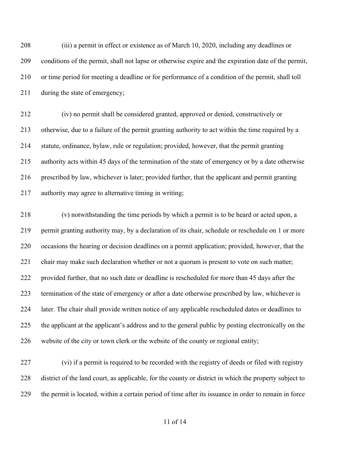(iii) a permit in effect or existence as of March 10, 2020, including any deadlines or conditions of the permit, shall not lapse or otherwise expire and the expiration date of the permit, or time period for meeting a deadline or for performance of a condition of the permit, shall toll during the state of emergency;

 (iv) no permit shall be considered granted, approved or denied, constructively or otherwise, due to a failure of the permit granting authority to act within the time required by a statute, ordinance, bylaw, rule or regulation; provided, however, that the permit granting authority acts within 45 days of the termination of the state of emergency or by a date otherwise prescribed by law, whichever is later; provided further, that the applicant and permit granting authority may agree to alternative timing in writing;

 (v) notwithstanding the time periods by which a permit is to be heard or acted upon, a permit granting authority may, by a declaration of its chair, schedule or reschedule on 1 or more occasions the hearing or decision deadlines on a permit application; provided, however, that the chair may make such declaration whether or not a quorum is present to vote on such matter; provided further, that no such date or deadline is rescheduled for more than 45 days after the termination of the state of emergency or after a date otherwise prescribed by law, whichever is later. The chair shall provide written notice of any applicable rescheduled dates or deadlines to the applicant at the applicant's address and to the general public by posting electronically on the website of the city or town clerk or the website of the county or regional entity;

 (vi) if a permit is required to be recorded with the registry of deeds or filed with registry district of the land court, as applicable, for the county or district in which the property subject to the permit is located, within a certain period of time after its issuance in order to remain in force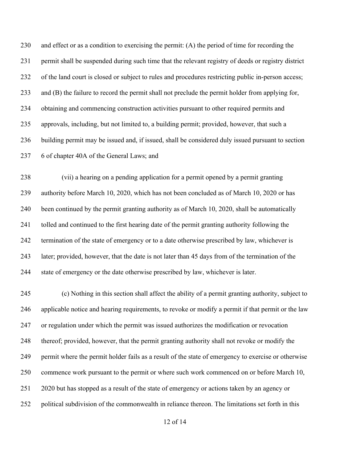and effect or as a condition to exercising the permit: (A) the period of time for recording the permit shall be suspended during such time that the relevant registry of deeds or registry district of the land court is closed or subject to rules and procedures restricting public in-person access; and (B) the failure to record the permit shall not preclude the permit holder from applying for, obtaining and commencing construction activities pursuant to other required permits and approvals, including, but not limited to, a building permit; provided, however, that such a building permit may be issued and, if issued, shall be considered duly issued pursuant to section 6 of chapter 40A of the General Laws; and

 (vii) a hearing on a pending application for a permit opened by a permit granting authority before March 10, 2020, which has not been concluded as of March 10, 2020 or has been continued by the permit granting authority as of March 10, 2020, shall be automatically tolled and continued to the first hearing date of the permit granting authority following the termination of the state of emergency or to a date otherwise prescribed by law, whichever is later; provided, however, that the date is not later than 45 days from of the termination of the state of emergency or the date otherwise prescribed by law, whichever is later.

 (c) Nothing in this section shall affect the ability of a permit granting authority, subject to applicable notice and hearing requirements, to revoke or modify a permit if that permit or the law or regulation under which the permit was issued authorizes the modification or revocation thereof; provided, however, that the permit granting authority shall not revoke or modify the permit where the permit holder fails as a result of the state of emergency to exercise or otherwise commence work pursuant to the permit or where such work commenced on or before March 10, 2020 but has stopped as a result of the state of emergency or actions taken by an agency or political subdivision of the commonwealth in reliance thereon. The limitations set forth in this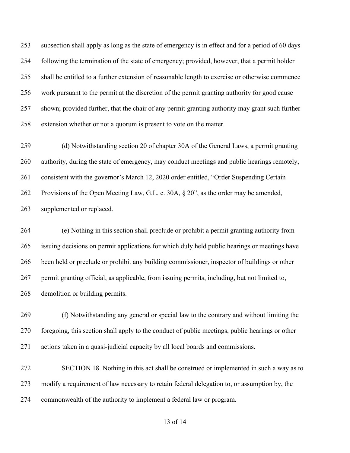subsection shall apply as long as the state of emergency is in effect and for a period of 60 days following the termination of the state of emergency; provided, however, that a permit holder shall be entitled to a further extension of reasonable length to exercise or otherwise commence work pursuant to the permit at the discretion of the permit granting authority for good cause shown; provided further, that the chair of any permit granting authority may grant such further extension whether or not a quorum is present to vote on the matter.

 (d) Notwithstanding section 20 of chapter 30A of the General Laws, a permit granting authority, during the state of emergency, may conduct meetings and public hearings remotely, consistent with the governor's March 12, 2020 order entitled, "Order Suspending Certain Provisions of the Open Meeting Law, G.L. c. 30A, § 20", as the order may be amended, supplemented or replaced.

 (e) Nothing in this section shall preclude or prohibit a permit granting authority from issuing decisions on permit applications for which duly held public hearings or meetings have been held or preclude or prohibit any building commissioner, inspector of buildings or other permit granting official, as applicable, from issuing permits, including, but not limited to, demolition or building permits.

 (f) Notwithstanding any general or special law to the contrary and without limiting the foregoing, this section shall apply to the conduct of public meetings, public hearings or other actions taken in a quasi-judicial capacity by all local boards and commissions.

 SECTION 18. Nothing in this act shall be construed or implemented in such a way as to modify a requirement of law necessary to retain federal delegation to, or assumption by, the commonwealth of the authority to implement a federal law or program.